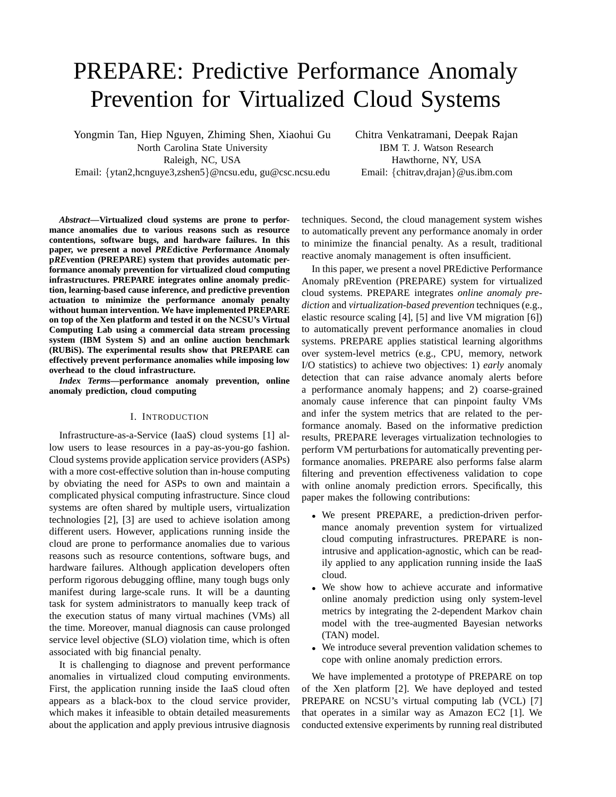# PREPARE: Predictive Performance Anomaly Prevention for Virtualized Cloud Systems

Yongmin Tan, Hiep Nguyen, Zhiming Shen, Xiaohui Gu North Carolina State University Raleigh, NC, USA

Email: {ytan2,hcnguye3,zshen5}@ncsu.edu, gu@csc.ncsu.edu

Chitra Venkatramani, Deepak Rajan IBM T. J. Watson Research Hawthorne, NY, USA Email: {chitrav,drajan}@us.ibm.com

*Abstract***—Virtualized cloud systems are prone to performance anomalies due to various reasons such as resource contentions, software bugs, and hardware failures. In this paper, we present a novel** *PRE***dictive** *P***erformance** *A***nomaly p***RE***vention (PREPARE) system that provides automatic performance anomaly prevention for virtualized cloud computing infrastructures. PREPARE integrates online anomaly prediction, learning-based cause inference, and predictive prevention actuation to minimize the performance anomaly penalty without human intervention. We have implemented PREPARE on top of the Xen platform and tested it on the NCSU's Virtual Computing Lab using a commercial data stream processing system (IBM System S) and an online auction benchmark (RUBiS). The experimental results show that PREPARE can effectively prevent performance anomalies while imposing low overhead to the cloud infrastructure.**

*Index Terms***—performance anomaly prevention, online anomaly prediction, cloud computing**

## I. INTRODUCTION

Infrastructure-as-a-Service (IaaS) cloud systems [1] allow users to lease resources in a pay-as-you-go fashion. Cloud systems provide application service providers (ASPs) with a more cost-effective solution than in-house computing by obviating the need for ASPs to own and maintain a complicated physical computing infrastructure. Since cloud systems are often shared by multiple users, virtualization technologies [2], [3] are used to achieve isolation among different users. However, applications running inside the cloud are prone to performance anomalies due to various reasons such as resource contentions, software bugs, and hardware failures. Although application developers often perform rigorous debugging offline, many tough bugs only manifest during large-scale runs. It will be a daunting task for system administrators to manually keep track of the execution status of many virtual machines (VMs) all the time. Moreover, manual diagnosis can cause prolonged service level objective (SLO) violation time, which is often associated with big financial penalty.

It is challenging to diagnose and prevent performance anomalies in virtualized cloud computing environments. First, the application running inside the IaaS cloud often appears as a black-box to the cloud service provider, which makes it infeasible to obtain detailed measurements about the application and apply previous intrusive diagnosis

techniques. Second, the cloud management system wishes to automatically prevent any performance anomaly in order to minimize the financial penalty. As a result, traditional reactive anomaly management is often insufficient.

In this paper, we present a novel PREdictive Performance Anomaly pREvention (PREPARE) system for virtualized cloud systems. PREPARE integrates *online anomaly prediction* and *virtualization-based prevention* techniques (e.g., elastic resource scaling [4], [5] and live VM migration [6]) to automatically prevent performance anomalies in cloud systems. PREPARE applies statistical learning algorithms over system-level metrics (e.g., CPU, memory, network I/O statistics) to achieve two objectives: 1) *early* anomaly detection that can raise advance anomaly alerts before a performance anomaly happens; and 2) coarse-grained anomaly cause inference that can pinpoint faulty VMs and infer the system metrics that are related to the performance anomaly. Based on the informative prediction results, PREPARE leverages virtualization technologies to perform VM perturbations for automatically preventing performance anomalies. PREPARE also performs false alarm filtering and prevention effectiveness validation to cope with online anomaly prediction errors. Specifically, this paper makes the following contributions:

- We present PREPARE, a prediction-driven performance anomaly prevention system for virtualized cloud computing infrastructures. PREPARE is nonintrusive and application-agnostic, which can be readily applied to any application running inside the IaaS cloud.
- We show how to achieve accurate and informative online anomaly prediction using only system-level metrics by integrating the 2-dependent Markov chain model with the tree-augmented Bayesian networks (TAN) model.
- We introduce several prevention validation schemes to cope with online anomaly prediction errors.

We have implemented a prototype of PREPARE on top of the Xen platform [2]. We have deployed and tested PREPARE on NCSU's virtual computing lab (VCL) [7] that operates in a similar way as Amazon EC2 [1]. We conducted extensive experiments by running real distributed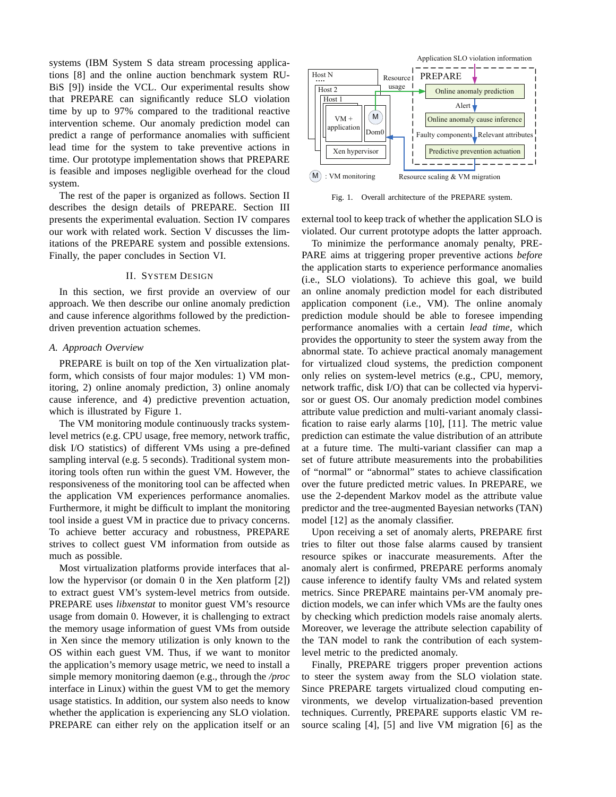systems (IBM System S data stream processing applications [8] and the online auction benchmark system RU-BiS [9]) inside the VCL. Our experimental results show that PREPARE can significantly reduce SLO violation time by up to 97% compared to the traditional reactive intervention scheme. Our anomaly prediction model can predict a range of performance anomalies with sufficient lead time for the system to take preventive actions in time. Our prototype implementation shows that PREPARE is feasible and imposes negligible overhead for the cloud system.

The rest of the paper is organized as follows. Section II describes the design details of PREPARE. Section III presents the experimental evaluation. Section IV compares our work with related work. Section V discusses the limitations of the PREPARE system and possible extensions. Finally, the paper concludes in Section VI.

## II. SYSTEM DESIGN

In this section, we first provide an overview of our approach. We then describe our online anomaly prediction and cause inference algorithms followed by the predictiondriven prevention actuation schemes.

## *A. Approach Overview*

PREPARE is built on top of the Xen virtualization platform, which consists of four major modules: 1) VM monitoring, 2) online anomaly prediction, 3) online anomaly cause inference, and 4) predictive prevention actuation, which is illustrated by Figure 1.

The VM monitoring module continuously tracks systemlevel metrics (e.g. CPU usage, free memory, network traffic, disk I/O statistics) of different VMs using a pre-defined sampling interval (e.g. 5 seconds). Traditional system monitoring tools often run within the guest VM. However, the responsiveness of the monitoring tool can be affected when the application VM experiences performance anomalies. Furthermore, it might be difficult to implant the monitoring tool inside a guest VM in practice due to privacy concerns. To achieve better accuracy and robustness, PREPARE strives to collect guest VM information from outside as much as possible.

Most virtualization platforms provide interfaces that allow the hypervisor (or domain 0 in the Xen platform [2]) to extract guest VM's system-level metrics from outside. PREPARE uses *libxenstat* to monitor guest VM's resource usage from domain 0. However, it is challenging to extract the memory usage information of guest VMs from outside in Xen since the memory utilization is only known to the OS within each guest VM. Thus, if we want to monitor the application's memory usage metric, we need to install a simple memory monitoring daemon (e.g., through the */proc* interface in Linux) within the guest VM to get the memory usage statistics. In addition, our system also needs to know whether the application is experiencing any SLO violation. PREPARE can either rely on the application itself or an



Fig. 1. Overall architecture of the PREPARE system.

external tool to keep track of whether the application SLO is violated. Our current prototype adopts the latter approach.

To minimize the performance anomaly penalty, PRE-PARE aims at triggering proper preventive actions *before* the application starts to experience performance anomalies (i.e., SLO violations). To achieve this goal, we build an online anomaly prediction model for each distributed application component (i.e., VM). The online anomaly prediction module should be able to foresee impending performance anomalies with a certain *lead time*, which provides the opportunity to steer the system away from the abnormal state. To achieve practical anomaly management for virtualized cloud systems, the prediction component only relies on system-level metrics (e.g., CPU, memory, network traffic, disk I/O) that can be collected via hypervisor or guest OS. Our anomaly prediction model combines attribute value prediction and multi-variant anomaly classification to raise early alarms [10], [11]. The metric value prediction can estimate the value distribution of an attribute at a future time. The multi-variant classifier can map a set of future attribute measurements into the probabilities of "normal" or "abnormal" states to achieve classification over the future predicted metric values. In PREPARE, we use the 2-dependent Markov model as the attribute value predictor and the tree-augmented Bayesian networks (TAN) model [12] as the anomaly classifier.

Upon receiving a set of anomaly alerts, PREPARE first tries to filter out those false alarms caused by transient resource spikes or inaccurate measurements. After the anomaly alert is confirmed, PREPARE performs anomaly cause inference to identify faulty VMs and related system metrics. Since PREPARE maintains per-VM anomaly prediction models, we can infer which VMs are the faulty ones by checking which prediction models raise anomaly alerts. Moreover, we leverage the attribute selection capability of the TAN model to rank the contribution of each systemlevel metric to the predicted anomaly.

Finally, PREPARE triggers proper prevention actions to steer the system away from the SLO violation state. Since PREPARE targets virtualized cloud computing environments, we develop virtualization-based prevention techniques. Currently, PREPARE supports elastic VM resource scaling [4], [5] and live VM migration [6] as the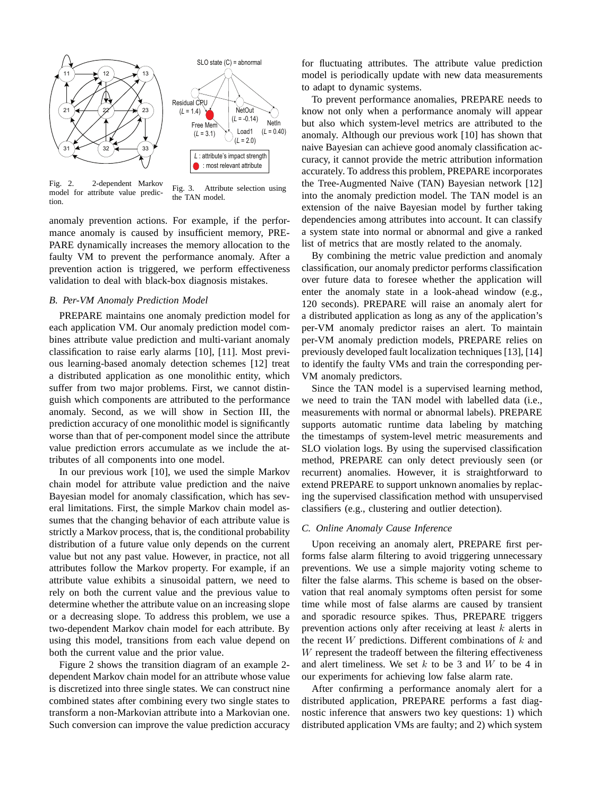

Fig. 2. 2-dependent Markov model for attribute value prediction.

Fig. 3. Attribute selection using the TAN model.

anomaly prevention actions. For example, if the performance anomaly is caused by insufficient memory, PRE-PARE dynamically increases the memory allocation to the faulty VM to prevent the performance anomaly. After a prevention action is triggered, we perform effectiveness validation to deal with black-box diagnosis mistakes.

## *B. Per-VM Anomaly Prediction Model*

PREPARE maintains one anomaly prediction model for each application VM. Our anomaly prediction model combines attribute value prediction and multi-variant anomaly classification to raise early alarms [10], [11]. Most previous learning-based anomaly detection schemes [12] treat a distributed application as one monolithic entity, which suffer from two major problems. First, we cannot distinguish which components are attributed to the performance anomaly. Second, as we will show in Section III, the prediction accuracy of one monolithic model is significantly worse than that of per-component model since the attribute value prediction errors accumulate as we include the attributes of all components into one model.

In our previous work [10], we used the simple Markov chain model for attribute value prediction and the naive Bayesian model for anomaly classification, which has several limitations. First, the simple Markov chain model assumes that the changing behavior of each attribute value is strictly a Markov process, that is, the conditional probability distribution of a future value only depends on the current value but not any past value. However, in practice, not all attributes follow the Markov property. For example, if an attribute value exhibits a sinusoidal pattern, we need to rely on both the current value and the previous value to determine whether the attribute value on an increasing slope or a decreasing slope. To address this problem, we use a two-dependent Markov chain model for each attribute. By using this model, transitions from each value depend on both the current value and the prior value.

Figure 2 shows the transition diagram of an example 2 dependent Markov chain model for an attribute whose value is discretized into three single states. We can construct nine combined states after combining every two single states to transform a non-Markovian attribute into a Markovian one. Such conversion can improve the value prediction accuracy

for fluctuating attributes. The attribute value prediction model is periodically update with new data measurements to adapt to dynamic systems.

To prevent performance anomalies, PREPARE needs to know not only when a performance anomaly will appear but also which system-level metrics are attributed to the anomaly. Although our previous work [10] has shown that naive Bayesian can achieve good anomaly classification accuracy, it cannot provide the metric attribution information accurately. To address this problem, PREPARE incorporates the Tree-Augmented Naive (TAN) Bayesian network [12] into the anomaly prediction model. The TAN model is an extension of the naive Bayesian model by further taking dependencies among attributes into account. It can classify a system state into normal or abnormal and give a ranked list of metrics that are mostly related to the anomaly.

By combining the metric value prediction and anomaly classification, our anomaly predictor performs classification over future data to foresee whether the application will enter the anomaly state in a look-ahead window (e.g., 120 seconds). PREPARE will raise an anomaly alert for a distributed application as long as any of the application's per-VM anomaly predictor raises an alert. To maintain per-VM anomaly prediction models, PREPARE relies on previously developed fault localization techniques [13], [14] to identify the faulty VMs and train the corresponding per-VM anomaly predictors.

Since the TAN model is a supervised learning method, we need to train the TAN model with labelled data (i.e., measurements with normal or abnormal labels). PREPARE supports automatic runtime data labeling by matching the timestamps of system-level metric measurements and SLO violation logs. By using the supervised classification method, PREPARE can only detect previously seen (or recurrent) anomalies. However, it is straightforward to extend PREPARE to support unknown anomalies by replacing the supervised classification method with unsupervised classifiers (e.g., clustering and outlier detection).

## *C. Online Anomaly Cause Inference*

Upon receiving an anomaly alert, PREPARE first performs false alarm filtering to avoid triggering unnecessary preventions. We use a simple majority voting scheme to filter the false alarms. This scheme is based on the observation that real anomaly symptoms often persist for some time while most of false alarms are caused by transient and sporadic resource spikes. Thus, PREPARE triggers prevention actions only after receiving at least k alerts in the recent W predictions. Different combinations of  $k$  and W represent the tradeoff between the filtering effectiveness and alert timeliness. We set  $k$  to be 3 and  $W$  to be 4 in our experiments for achieving low false alarm rate.

After confirming a performance anomaly alert for a distributed application, PREPARE performs a fast diagnostic inference that answers two key questions: 1) which distributed application VMs are faulty; and 2) which system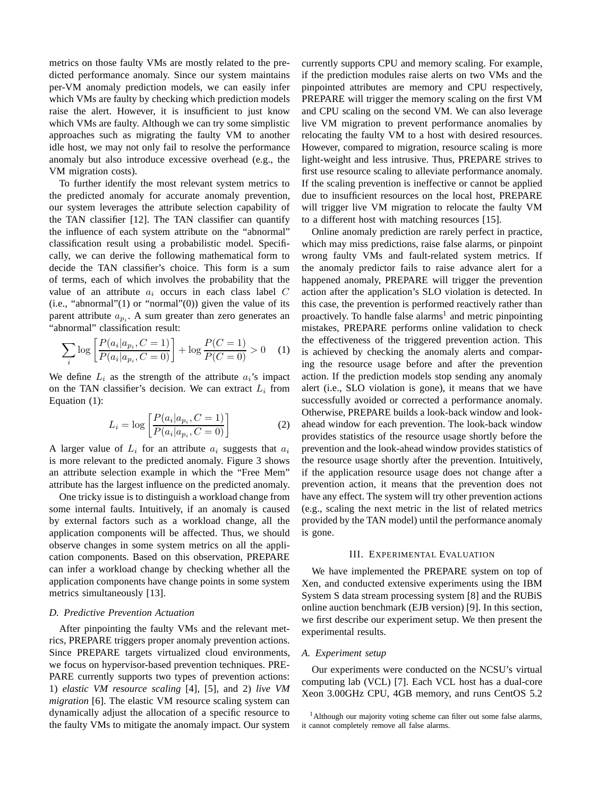metrics on those faulty VMs are mostly related to the predicted performance anomaly. Since our system maintains per-VM anomaly prediction models, we can easily infer which VMs are faulty by checking which prediction models raise the alert. However, it is insufficient to just know which VMs are faulty. Although we can try some simplistic approaches such as migrating the faulty VM to another idle host, we may not only fail to resolve the performance anomaly but also introduce excessive overhead (e.g., the VM migration costs).

To further identify the most relevant system metrics to the predicted anomaly for accurate anomaly prevention, our system leverages the attribute selection capability of the TAN classifier [12]. The TAN classifier can quantify the influence of each system attribute on the "abnormal" classification result using a probabilistic model. Specifically, we can derive the following mathematical form to decide the TAN classifier's choice. This form is a sum of terms, each of which involves the probability that the value of an attribute  $a_i$  occurs in each class label  $C$  $(i.e., "abnormal" (1) or "normal" (0))$  given the value of its parent attribute  $a_{pi}$ . A sum greater than zero generates an "abnormal" classification result:

$$
\sum_{i} \log \left[ \frac{P(a_i|a_{p_i}, C=1)}{P(a_i|a_{p_i}, C=0)} \right] + \log \frac{P(C=1)}{P(C=0)} > 0 \quad (1)
$$

We define  $L_i$  as the strength of the attribute  $a_i$ 's impact on the TAN classifier's decision. We can extract  $L_i$  from Equation (1):

$$
L_i = \log \left[ \frac{P(a_i | a_{p_i}, C = 1)}{P(a_i | a_{p_i}, C = 0)} \right]
$$
 (2)

A larger value of  $L_i$  for an attribute  $a_i$  suggests that  $a_i$ is more relevant to the predicted anomaly. Figure 3 shows an attribute selection example in which the "Free Mem" attribute has the largest influence on the predicted anomaly.

One tricky issue is to distinguish a workload change from some internal faults. Intuitively, if an anomaly is caused by external factors such as a workload change, all the application components will be affected. Thus, we should observe changes in some system metrics on all the application components. Based on this observation, PREPARE can infer a workload change by checking whether all the application components have change points in some system metrics simultaneously [13].

## *D. Predictive Prevention Actuation*

After pinpointing the faulty VMs and the relevant metrics, PREPARE triggers proper anomaly prevention actions. Since PREPARE targets virtualized cloud environments, we focus on hypervisor-based prevention techniques. PRE-PARE currently supports two types of prevention actions: 1) *elastic VM resource scaling* [4], [5], and 2) *live VM migration* [6]. The elastic VM resource scaling system can dynamically adjust the allocation of a specific resource to the faulty VMs to mitigate the anomaly impact. Our system currently supports CPU and memory scaling. For example, if the prediction modules raise alerts on two VMs and the pinpointed attributes are memory and CPU respectively, PREPARE will trigger the memory scaling on the first VM and CPU scaling on the second VM. We can also leverage live VM migration to prevent performance anomalies by relocating the faulty VM to a host with desired resources. However, compared to migration, resource scaling is more light-weight and less intrusive. Thus, PREPARE strives to first use resource scaling to alleviate performance anomaly. If the scaling prevention is ineffective or cannot be applied due to insufficient resources on the local host, PREPARE will trigger live VM migration to relocate the faulty VM to a different host with matching resources [15].

Online anomaly prediction are rarely perfect in practice, which may miss predictions, raise false alarms, or pinpoint wrong faulty VMs and fault-related system metrics. If the anomaly predictor fails to raise advance alert for a happened anomaly, PREPARE will trigger the prevention action after the application's SLO violation is detected. In this case, the prevention is performed reactively rather than proactively. To handle false alarms<sup>1</sup> and metric pinpointing mistakes, PREPARE performs online validation to check the effectiveness of the triggered prevention action. This is achieved by checking the anomaly alerts and comparing the resource usage before and after the prevention action. If the prediction models stop sending any anomaly alert (i.e., SLO violation is gone), it means that we have successfully avoided or corrected a performance anomaly. Otherwise, PREPARE builds a look-back window and lookahead window for each prevention. The look-back window provides statistics of the resource usage shortly before the prevention and the look-ahead window provides statistics of the resource usage shortly after the prevention. Intuitively, if the application resource usage does not change after a prevention action, it means that the prevention does not have any effect. The system will try other prevention actions (e.g., scaling the next metric in the list of related metrics provided by the TAN model) until the performance anomaly is gone.

#### III. EXPERIMENTAL EVALUATION

We have implemented the PREPARE system on top of Xen, and conducted extensive experiments using the IBM System S data stream processing system [8] and the RUBiS online auction benchmark (EJB version) [9]. In this section, we first describe our experiment setup. We then present the experimental results.

### *A. Experiment setup*

Our experiments were conducted on the NCSU's virtual computing lab (VCL) [7]. Each VCL host has a dual-core Xeon 3.00GHz CPU, 4GB memory, and runs CentOS 5.2

<sup>&</sup>lt;sup>1</sup>Although our majority voting scheme can filter out some false alarms, it cannot completely remove all false alarms.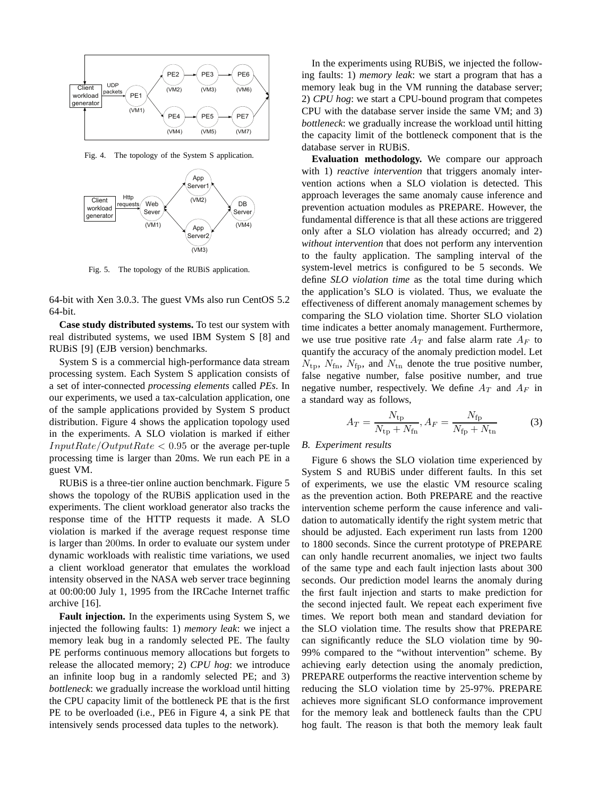

Fig. 4. The topology of the System S application.



Fig. 5. The topology of the RUBiS application.

64-bit with Xen 3.0.3. The guest VMs also run CentOS 5.2 64-bit.

**Case study distributed systems.** To test our system with real distributed systems, we used IBM System S [8] and RUBiS [9] (EJB version) benchmarks.

System S is a commercial high-performance data stream processing system. Each System S application consists of a set of inter-connected *processing elements* called *PEs*. In our experiments, we used a tax-calculation application, one of the sample applications provided by System S product distribution. Figure 4 shows the application topology used in the experiments. A SLO violation is marked if either  $InputRate/OutputRate < 0.95$  or the average per-tuple processing time is larger than 20ms. We run each PE in a guest VM.

RUBiS is a three-tier online auction benchmark. Figure 5 shows the topology of the RUBiS application used in the experiments. The client workload generator also tracks the response time of the HTTP requests it made. A SLO violation is marked if the average request response time is larger than 200ms. In order to evaluate our system under dynamic workloads with realistic time variations, we used a client workload generator that emulates the workload intensity observed in the NASA web server trace beginning at 00:00:00 July 1, 1995 from the IRCache Internet traffic archive [16].

**Fault injection.** In the experiments using System S, we injected the following faults: 1) *memory leak*: we inject a memory leak bug in a randomly selected PE. The faulty PE performs continuous memory allocations but forgets to release the allocated memory; 2) *CPU hog*: we introduce an infinite loop bug in a randomly selected PE; and 3) *bottleneck*: we gradually increase the workload until hitting the CPU capacity limit of the bottleneck PE that is the first PE to be overloaded (i.e., PE6 in Figure 4, a sink PE that intensively sends processed data tuples to the network).

In the experiments using RUBiS, we injected the following faults: 1) *memory leak*: we start a program that has a memory leak bug in the VM running the database server; 2) *CPU hog*: we start a CPU-bound program that competes CPU with the database server inside the same VM; and 3) *bottleneck*: we gradually increase the workload until hitting the capacity limit of the bottleneck component that is the database server in RUBiS.

**Evaluation methodology.** We compare our approach with 1) *reactive intervention* that triggers anomaly intervention actions when a SLO violation is detected. This approach leverages the same anomaly cause inference and prevention actuation modules as PREPARE. However, the fundamental difference is that all these actions are triggered only after a SLO violation has already occurred; and 2) *without intervention* that does not perform any intervention to the faulty application. The sampling interval of the system-level metrics is configured to be 5 seconds. We define *SLO violation time* as the total time during which the application's SLO is violated. Thus, we evaluate the effectiveness of different anomaly management schemes by comparing the SLO violation time. Shorter SLO violation time indicates a better anomaly management. Furthermore, we use true positive rate  $A_T$  and false alarm rate  $A_F$  to quantify the accuracy of the anomaly prediction model. Let  $N_{\text{tp}}$ ,  $N_{\text{fn}}$ ,  $N_{\text{fp}}$ , and  $N_{\text{tn}}$  denote the true positive number, false negative number, false positive number, and true negative number, respectively. We define  $A_T$  and  $A_F$  in a standard way as follows,

$$
A_T = \frac{N_{\rm tp}}{N_{\rm tp} + N_{\rm fn}}, A_F = \frac{N_{\rm fp}}{N_{\rm fp} + N_{\rm tn}}
$$
(3)

### *B. Experiment results*

Figure 6 shows the SLO violation time experienced by System S and RUBiS under different faults. In this set of experiments, we use the elastic VM resource scaling as the prevention action. Both PREPARE and the reactive intervention scheme perform the cause inference and validation to automatically identify the right system metric that should be adjusted. Each experiment run lasts from 1200 to 1800 seconds. Since the current prototype of PREPARE can only handle recurrent anomalies, we inject two faults of the same type and each fault injection lasts about 300 seconds. Our prediction model learns the anomaly during the first fault injection and starts to make prediction for the second injected fault. We repeat each experiment five times. We report both mean and standard deviation for the SLO violation time. The results show that PREPARE can significantly reduce the SLO violation time by 90- 99% compared to the "without intervention" scheme. By achieving early detection using the anomaly prediction, PREPARE outperforms the reactive intervention scheme by reducing the SLO violation time by 25-97%. PREPARE achieves more significant SLO conformance improvement for the memory leak and bottleneck faults than the CPU hog fault. The reason is that both the memory leak fault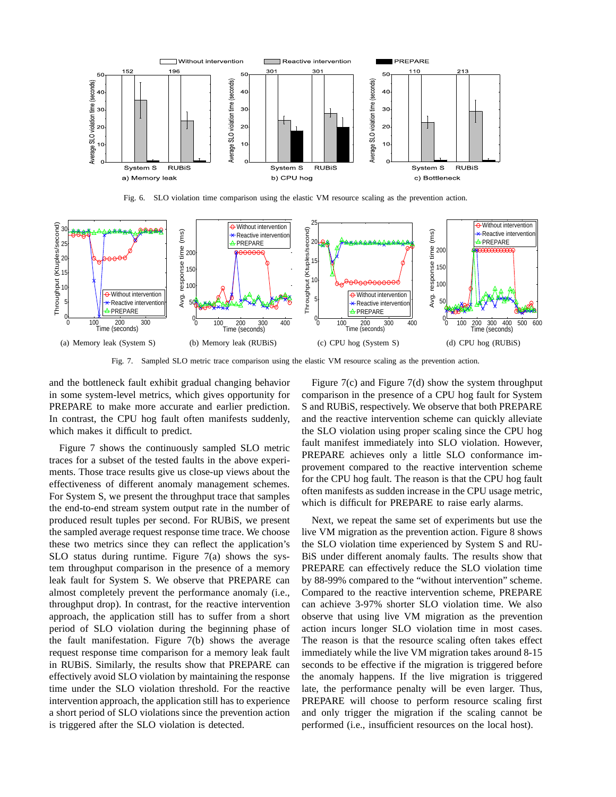

Fig. 6. SLO violation time comparison using the elastic VM resource scaling as the prevention action.



Fig. 7. Sampled SLO metric trace comparison using the elastic VM resource scaling as the prevention action.

and the bottleneck fault exhibit gradual changing behavior in some system-level metrics, which gives opportunity for PREPARE to make more accurate and earlier prediction. In contrast, the CPU hog fault often manifests suddenly, which makes it difficult to predict.

Figure 7 shows the continuously sampled SLO metric traces for a subset of the tested faults in the above experiments. Those trace results give us close-up views about the effectiveness of different anomaly management schemes. For System S, we present the throughput trace that samples the end-to-end stream system output rate in the number of produced result tuples per second. For RUBiS, we present the sampled average request response time trace. We choose these two metrics since they can reflect the application's SLO status during runtime. Figure 7(a) shows the system throughput comparison in the presence of a memory leak fault for System S. We observe that PREPARE can almost completely prevent the performance anomaly (i.e., throughput drop). In contrast, for the reactive intervention approach, the application still has to suffer from a short period of SLO violation during the beginning phase of the fault manifestation. Figure 7(b) shows the average request response time comparison for a memory leak fault in RUBiS. Similarly, the results show that PREPARE can effectively avoid SLO violation by maintaining the response time under the SLO violation threshold. For the reactive intervention approach, the application still has to experience a short period of SLO violations since the prevention action is triggered after the SLO violation is detected.

Figure 7(c) and Figure 7(d) show the system throughput comparison in the presence of a CPU hog fault for System S and RUBiS, respectively. We observe that both PREPARE and the reactive intervention scheme can quickly alleviate the SLO violation using proper scaling since the CPU hog fault manifest immediately into SLO violation. However, PREPARE achieves only a little SLO conformance improvement compared to the reactive intervention scheme for the CPU hog fault. The reason is that the CPU hog fault often manifests as sudden increase in the CPU usage metric, which is difficult for PREPARE to raise early alarms.

Next, we repeat the same set of experiments but use the live VM migration as the prevention action. Figure 8 shows the SLO violation time experienced by System S and RU-BiS under different anomaly faults. The results show that PREPARE can effectively reduce the SLO violation time by 88-99% compared to the "without intervention" scheme. Compared to the reactive intervention scheme, PREPARE can achieve 3-97% shorter SLO violation time. We also observe that using live VM migration as the prevention action incurs longer SLO violation time in most cases. The reason is that the resource scaling often takes effect immediately while the live VM migration takes around 8-15 seconds to be effective if the migration is triggered before the anomaly happens. If the live migration is triggered late, the performance penalty will be even larger. Thus, PREPARE will choose to perform resource scaling first and only trigger the migration if the scaling cannot be performed (i.e., insufficient resources on the local host).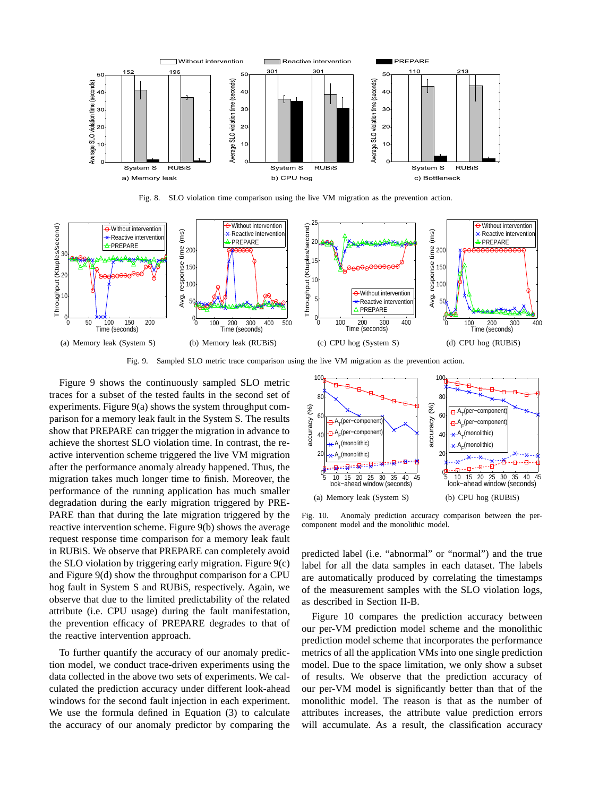

Fig. 8. SLO violation time comparison using the live VM migration as the prevention action.



Fig. 9. Sampled SLO metric trace comparison using the live VM migration as the prevention action.

Figure 9 shows the continuously sampled SLO metric traces for a subset of the tested faults in the second set of experiments. Figure 9(a) shows the system throughput comparison for a memory leak fault in the System S. The results show that PREPARE can trigger the migration in advance to achieve the shortest SLO violation time. In contrast, the reactive intervention scheme triggered the live VM migration after the performance anomaly already happened. Thus, the migration takes much longer time to finish. Moreover, the performance of the running application has much smaller degradation during the early migration triggered by PRE-PARE than that during the late migration triggered by the reactive intervention scheme. Figure 9(b) shows the average request response time comparison for a memory leak fault in RUBiS. We observe that PREPARE can completely avoid the SLO violation by triggering early migration. Figure 9(c) and Figure 9(d) show the throughput comparison for a CPU hog fault in System S and RUBiS, respectively. Again, we observe that due to the limited predictability of the related attribute (i.e. CPU usage) during the fault manifestation, the prevention efficacy of PREPARE degrades to that of the reactive intervention approach.

To further quantify the accuracy of our anomaly prediction model, we conduct trace-driven experiments using the data collected in the above two sets of experiments. We calculated the prediction accuracy under different look-ahead windows for the second fault injection in each experiment. We use the formula defined in Equation (3) to calculate the accuracy of our anomaly predictor by comparing the



Fig. 10. Anomaly prediction accuracy comparison between the percomponent model and the monolithic model.

predicted label (i.e. "abnormal" or "normal") and the true label for all the data samples in each dataset. The labels are automatically produced by correlating the timestamps of the measurement samples with the SLO violation logs, as described in Section II-B.

Figure 10 compares the prediction accuracy between our per-VM prediction model scheme and the monolithic prediction model scheme that incorporates the performance metrics of all the application VMs into one single prediction model. Due to the space limitation, we only show a subset of results. We observe that the prediction accuracy of our per-VM model is significantly better than that of the monolithic model. The reason is that as the number of attributes increases, the attribute value prediction errors will accumulate. As a result, the classification accuracy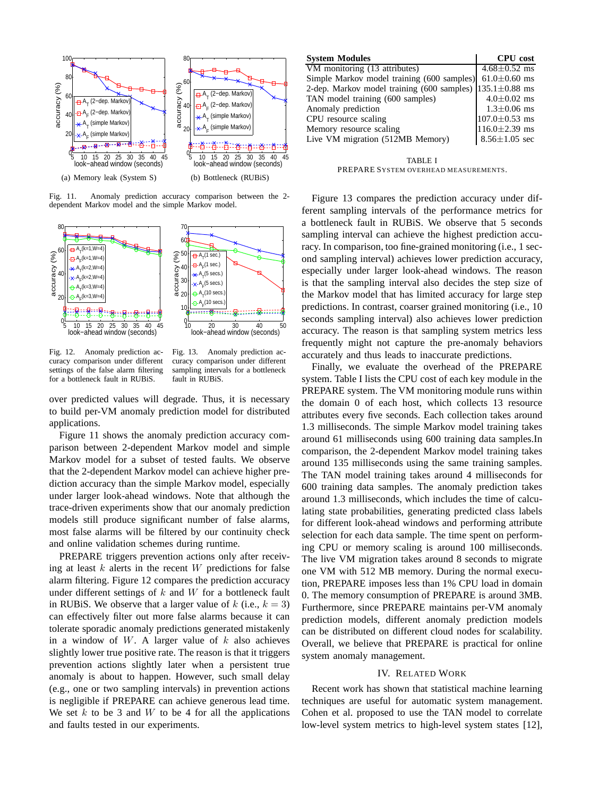

Fig. 11. Anomaly prediction accuracy comparison between the 2 dependent Markov model and the simple Markov model.



Fig. 12. Anomaly prediction accuracy comparison under different settings of the false alarm filtering for a bottleneck fault in RUBiS.

Fig. 13. Anomaly prediction accuracy comparison under different sampling intervals for a bottleneck fault in RUBiS.

over predicted values will degrade. Thus, it is necessary to build per-VM anomaly prediction model for distributed applications.

Figure 11 shows the anomaly prediction accuracy comparison between 2-dependent Markov model and simple Markov model for a subset of tested faults. We observe that the 2-dependent Markov model can achieve higher prediction accuracy than the simple Markov model, especially under larger look-ahead windows. Note that although the trace-driven experiments show that our anomaly prediction models still produce significant number of false alarms, most false alarms will be filtered by our continuity check and online validation schemes during runtime.

PREPARE triggers prevention actions only after receiving at least  $k$  alerts in the recent  $W$  predictions for false alarm filtering. Figure 12 compares the prediction accuracy under different settings of  $k$  and  $W$  for a bottleneck fault in RUBiS. We observe that a larger value of k (i.e.,  $k = 3$ ) can effectively filter out more false alarms because it can tolerate sporadic anomaly predictions generated mistakenly in a window of  $W$ . A larger value of  $k$  also achieves slightly lower true positive rate. The reason is that it triggers prevention actions slightly later when a persistent true anomaly is about to happen. However, such small delay (e.g., one or two sampling intervals) in prevention actions is negligible if PREPARE can achieve generous lead time. We set  $k$  to be 3 and  $W$  to be 4 for all the applications and faults tested in our experiments.

| <b>System Modules</b>                                           | <b>CPU</b> cost     |
|-----------------------------------------------------------------|---------------------|
| VM monitoring (13 attributes)                                   | $4.68 \pm 0.52$ ms  |
| Simple Markov model training (600 samples)                      | $61.0 \pm 0.60$ ms  |
| 2-dep. Markov model training (600 samples) $ 135.1 \pm 0.88$ ms |                     |
| TAN model training (600 samples)                                | $4.0 \pm 0.02$ ms   |
| Anomaly prediction                                              | $1.3 \pm 0.06$ ms   |
| CPU resource scaling                                            | $107.0 \pm 0.53$ ms |
| Memory resource scaling                                         | 116.0 $\pm$ 2.39 ms |
| Live VM migration (512MB Memory)                                | $8.56 \pm 1.05$ sec |

TABLE I PREPARE SYSTEM OVERHEAD MEASUREMENTS.

Figure 13 compares the prediction accuracy under different sampling intervals of the performance metrics for a bottleneck fault in RUBiS. We observe that 5 seconds sampling interval can achieve the highest prediction accuracy. In comparison, too fine-grained monitoring (i.e., 1 second sampling interval) achieves lower prediction accuracy, especially under larger look-ahead windows. The reason is that the sampling interval also decides the step size of the Markov model that has limited accuracy for large step predictions. In contrast, coarser grained monitoring (i.e., 10 seconds sampling interval) also achieves lower prediction accuracy. The reason is that sampling system metrics less frequently might not capture the pre-anomaly behaviors accurately and thus leads to inaccurate predictions.

Finally, we evaluate the overhead of the PREPARE system. Table I lists the CPU cost of each key module in the PREPARE system. The VM monitoring module runs within the domain 0 of each host, which collects 13 resource attributes every five seconds. Each collection takes around 1.3 milliseconds. The simple Markov model training takes around 61 milliseconds using 600 training data samples.In comparison, the 2-dependent Markov model training takes around 135 milliseconds using the same training samples. The TAN model training takes around 4 milliseconds for 600 training data samples. The anomaly prediction takes around 1.3 milliseconds, which includes the time of calculating state probabilities, generating predicted class labels for different look-ahead windows and performing attribute selection for each data sample. The time spent on performing CPU or memory scaling is around 100 milliseconds. The live VM migration takes around 8 seconds to migrate one VM with 512 MB memory. During the normal execution, PREPARE imposes less than 1% CPU load in domain 0. The memory consumption of PREPARE is around 3MB. Furthermore, since PREPARE maintains per-VM anomaly prediction models, different anomaly prediction models can be distributed on different cloud nodes for scalability. Overall, we believe that PREPARE is practical for online system anomaly management.

## IV. RELATED WORK

Recent work has shown that statistical machine learning techniques are useful for automatic system management. Cohen et al. proposed to use the TAN model to correlate low-level system metrics to high-level system states [12],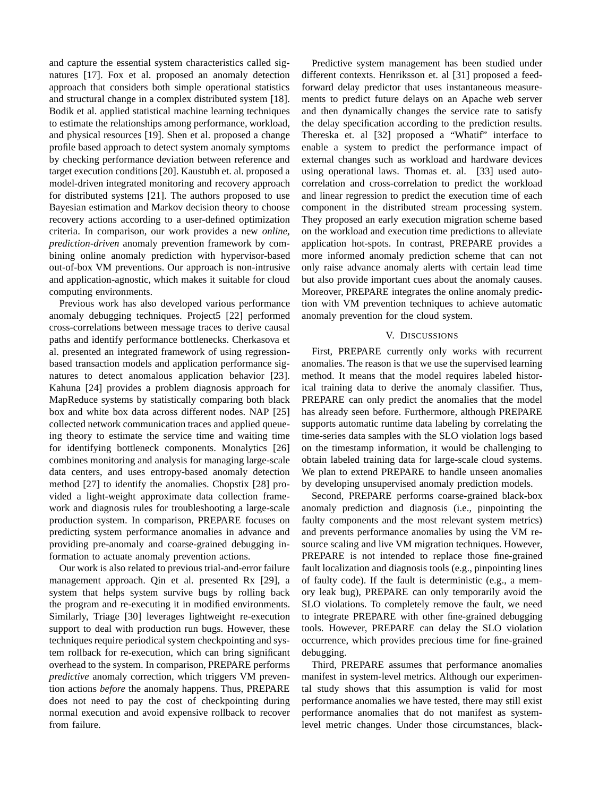and capture the essential system characteristics called signatures [17]. Fox et al. proposed an anomaly detection approach that considers both simple operational statistics and structural change in a complex distributed system [18]. Bodik et al. applied statistical machine learning techniques to estimate the relationships among performance, workload, and physical resources [19]. Shen et al. proposed a change profile based approach to detect system anomaly symptoms by checking performance deviation between reference and target execution conditions [20]. Kaustubh et. al. proposed a model-driven integrated monitoring and recovery approach for distributed systems [21]. The authors proposed to use Bayesian estimation and Markov decision theory to choose recovery actions according to a user-defined optimization criteria. In comparison, our work provides a new *online, prediction-driven* anomaly prevention framework by combining online anomaly prediction with hypervisor-based out-of-box VM preventions. Our approach is non-intrusive and application-agnostic, which makes it suitable for cloud computing environments.

Previous work has also developed various performance anomaly debugging techniques. Project5 [22] performed cross-correlations between message traces to derive causal paths and identify performance bottlenecks. Cherkasova et al. presented an integrated framework of using regressionbased transaction models and application performance signatures to detect anomalous application behavior [23]. Kahuna [24] provides a problem diagnosis approach for MapReduce systems by statistically comparing both black box and white box data across different nodes. NAP [25] collected network communication traces and applied queueing theory to estimate the service time and waiting time for identifying bottleneck components. Monalytics [26] combines monitoring and analysis for managing large-scale data centers, and uses entropy-based anomaly detection method [27] to identify the anomalies. Chopstix [28] provided a light-weight approximate data collection framework and diagnosis rules for troubleshooting a large-scale production system. In comparison, PREPARE focuses on predicting system performance anomalies in advance and providing pre-anomaly and coarse-grained debugging information to actuate anomaly prevention actions.

Our work is also related to previous trial-and-error failure management approach. Qin et al. presented Rx [29], a system that helps system survive bugs by rolling back the program and re-executing it in modified environments. Similarly, Triage [30] leverages lightweight re-execution support to deal with production run bugs. However, these techniques require periodical system checkpointing and system rollback for re-execution, which can bring significant overhead to the system. In comparison, PREPARE performs *predictive* anomaly correction, which triggers VM prevention actions *before* the anomaly happens. Thus, PREPARE does not need to pay the cost of checkpointing during normal execution and avoid expensive rollback to recover from failure.

Predictive system management has been studied under different contexts. Henriksson et. al [31] proposed a feedforward delay predictor that uses instantaneous measurements to predict future delays on an Apache web server and then dynamically changes the service rate to satisfy the delay specification according to the prediction results. Thereska et. al [32] proposed a "Whatif" interface to enable a system to predict the performance impact of external changes such as workload and hardware devices using operational laws. Thomas et. al. [33] used autocorrelation and cross-correlation to predict the workload and linear regression to predict the execution time of each component in the distributed stream processing system. They proposed an early execution migration scheme based on the workload and execution time predictions to alleviate application hot-spots. In contrast, PREPARE provides a more informed anomaly prediction scheme that can not only raise advance anomaly alerts with certain lead time but also provide important cues about the anomaly causes. Moreover, PREPARE integrates the online anomaly prediction with VM prevention techniques to achieve automatic anomaly prevention for the cloud system.

## V. DISCUSSIONS

First, PREPARE currently only works with recurrent anomalies. The reason is that we use the supervised learning method. It means that the model requires labeled historical training data to derive the anomaly classifier. Thus, PREPARE can only predict the anomalies that the model has already seen before. Furthermore, although PREPARE supports automatic runtime data labeling by correlating the time-series data samples with the SLO violation logs based on the timestamp information, it would be challenging to obtain labeled training data for large-scale cloud systems. We plan to extend PREPARE to handle unseen anomalies by developing unsupervised anomaly prediction models.

Second, PREPARE performs coarse-grained black-box anomaly prediction and diagnosis (i.e., pinpointing the faulty components and the most relevant system metrics) and prevents performance anomalies by using the VM resource scaling and live VM migration techniques. However, PREPARE is not intended to replace those fine-grained fault localization and diagnosis tools (e.g., pinpointing lines of faulty code). If the fault is deterministic (e.g., a memory leak bug), PREPARE can only temporarily avoid the SLO violations. To completely remove the fault, we need to integrate PREPARE with other fine-grained debugging tools. However, PREPARE can delay the SLO violation occurrence, which provides precious time for fine-grained debugging.

Third, PREPARE assumes that performance anomalies manifest in system-level metrics. Although our experimental study shows that this assumption is valid for most performance anomalies we have tested, there may still exist performance anomalies that do not manifest as systemlevel metric changes. Under those circumstances, black